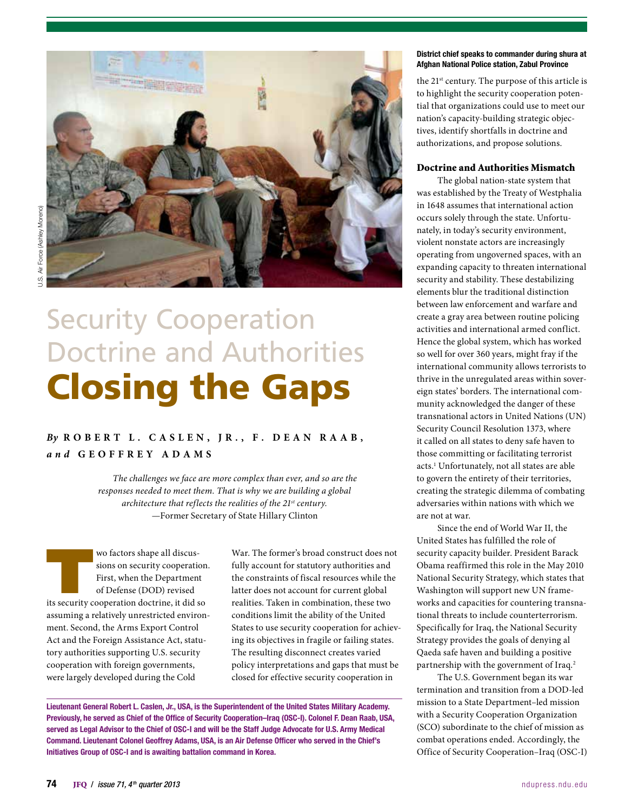

# Security Cooperation Doctrine and Authorities Closing the Gaps

## *By* **R o b ert L . Ca slen, Jr., F. D e a n Raab ,**  *and* **Geo ff rey Ad am s**

*The challenges we face are more complex than ever, and so are the responses needed to meet them. That is why we are building a global architecture that reflects the realities of the 21st century.* —Former Secretary of State Hillary Clinton

wo factors shape all discus-<br>sions on security cooperation<br>First, when the Department<br>of Defense (DOD) revised<br>its security cooperation doctrine, it did so sions on security cooperation. First, when the Department of Defense (DOD) revised assuming a relatively unrestricted environment. Second, the Arms Export Control Act and the Foreign Assistance Act, statutory authorities supporting U.S. security cooperation with foreign governments, were largely developed during the Cold

War. The former's broad construct does not fully account for statutory authorities and the constraints of fiscal resources while the latter does not account for current global realities. Taken in combination, these two conditions limit the ability of the United States to use security cooperation for achieving its objectives in fragile or failing states. The resulting disconnect creates varied policy interpretations and gaps that must be closed for effective security cooperation in

Lieutenant General Robert L. Caslen, Jr., USA, is the Superintendent of the United States Military Academy. Previously, he served as Chief of the Office of Security Cooperation–Iraq (OSC-I). Colonel F. Dean Raab, USA, served as Legal Advisor to the Chief of OSC-I and will be the Staff Judge Advocate for U.S. Army Medical Command. Lieutenant Colonel Geoffrey Adams, USA, is an Air Defense Officer who served in the Chief's Initiatives Group of OSC-I and is awaiting battalion command in Korea.

#### District chief speaks to commander during shura at Afghan National Police station, Zabul Province

the 21st century. The purpose of this article is to highlight the security cooperation potential that organizations could use to meet our nation's capacity-building strategic objectives, identify shortfalls in doctrine and authorizations, and propose solutions.

## Doctrine and Authorities Mismatch

The global nation-state system that was established by the Treaty of Westphalia in 1648 assumes that international action occurs solely through the state. Unfortunately, in today's security environment, violent nonstate actors are increasingly operating from ungoverned spaces, with an expanding capacity to threaten international security and stability. These destabilizing elements blur the traditional distinction between law enforcement and warfare and create a gray area between routine policing activities and international armed conflict. Hence the global system, which has worked so well for over 360 years, might fray if the international community allows terrorists to thrive in the unregulated areas within sovereign states' borders. The international community acknowledged the danger of these transnational actors in United Nations (UN) Security Council Resolution 1373, where it called on all states to deny safe haven to those committing or facilitating terrorist acts.1 Unfortunately, not all states are able to govern the entirety of their territories, creating the strategic dilemma of combating adversaries within nations with which we are not at war.

Since the end of World War II, the United States has fulfilled the role of security capacity builder. President Barack Obama reaffirmed this role in the May 2010 National Security Strategy, which states that Washington will support new UN frameworks and capacities for countering transnational threats to include counterterrorism. Specifically for Iraq, the National Security Strategy provides the goals of denying al Qaeda safe haven and building a positive partnership with the government of Iraq.<sup>2</sup>

The U.S. Government began its war termination and transition from a DOD-led mission to a State Department–led mission with a Security Cooperation Organization (SCO) subordinate to the chief of mission as combat operations ended. Accordingly, the Office of Security Cooperation–Iraq (OSC-I)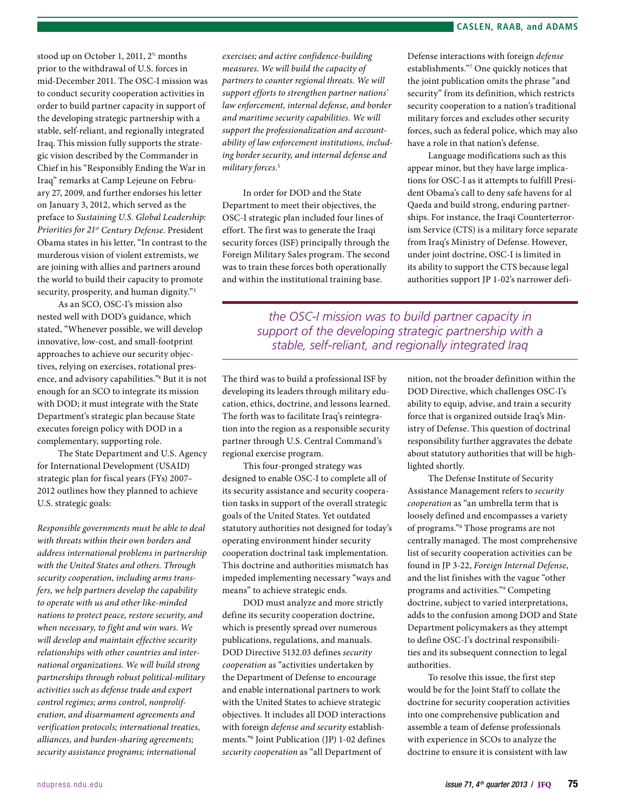stood up on October 1, 2011, 2½ months prior to the withdrawal of U.S. forces in mid-December 2011. The OSC-I mission was to conduct security cooperation activities in order to build partner capacity in support of the developing strategic partnership with a stable, self-reliant, and regionally integrated Iraq. This mission fully supports the strategic vision described by the Commander in Chief in his "Responsibly Ending the War in Iraq" remarks at Camp Lejeune on February 27, 2009, and further endorses his letter on January 3, 2012, which served as the preface to *Sustaining U.S. Global Leadership: Priorities for 21st Century Defense*. President Obama states in his letter, "In contrast to the murderous vision of violent extremists, we are joining with allies and partners around the world to build their capacity to promote security, prosperity, and human dignity."<sup>3</sup>

As an SCO, OSC-I's mission also nested well with DOD's guidance, which stated, "Whenever possible, we will develop innovative, low-cost, and small-footprint approaches to achieve our security objectives, relying on exercises, rotational presence, and advisory capabilities."4 But it is not enough for an SCO to integrate its mission with DOD; it must integrate with the State Department's strategic plan because State executes foreign policy with DOD in a complementary, supporting role.

The State Department and U.S. Agency for International Development (USAID) strategic plan for fiscal years (FYs) 2007– 2012 outlines how they planned to achieve U.S. strategic goals:

*Responsible governments must be able to deal with threats within their own borders and address international problems in partnership with the United States and others. Through security cooperation, including arms transfers, we help partners develop the capability to operate with us and other like-minded nations to protect peace, restore security, and when necessary, to fight and win wars. We will develop and maintain effective security relationships with other countries and international organizations. We will build strong partnerships through robust political-military activities such as defense trade and export control regimes; arms control, nonproliferation, and disarmament agreements and verification protocols; international treaties, alliances, and burden-sharing agreements; security assistance programs; international* 

*exercises; and active confidence-building measures. We will build the capacity of partners to counter regional threats. We will support efforts to strengthen partner nations' law enforcement, internal defense, and border and maritime security capabilities. We will support the professionalization and accountability of law enforcement institutions, including border security, and internal defense and military forces.*<sup>5</sup>

In order for DOD and the State Department to meet their objectives, the OSC-I strategic plan included four lines of effort. The first was to generate the Iraqi security forces (ISF) principally through the Foreign Military Sales program. The second was to train these forces both operationally and within the institutional training base.

Defense interactions with foreign *defense* establishments."7 One quickly notices that the joint publication omits the phrase "and security" from its definition, which restricts security cooperation to a nation's traditional military forces and excludes other security forces, such as federal police, which may also have a role in that nation's defense.

Language modifications such as this appear minor, but they have large implications for OSC-I as it attempts to fulfill President Obama's call to deny safe havens for al Qaeda and build strong, enduring partnerships. For instance, the Iraqi Counterterrorism Service (CTS) is a military force separate from Iraq's Ministry of Defense. However, under joint doctrine, OSC-I is limited in its ability to support the CTS because legal authorities support JP 1-02's narrower defi-

*the OSC-I mission was to build partner capacity in support of the developing strategic partnership with a stable, self-reliant, and regionally integrated Iraq*

The third was to build a professional ISF by developing its leaders through military education, ethics, doctrine, and lessons learned. The forth was to facilitate Iraq's reintegration into the region as a responsible security partner through U.S. Central Command's regional exercise program.

This four-pronged strategy was designed to enable OSC-I to complete all of its security assistance and security cooperation tasks in support of the overall strategic goals of the United States. Yet outdated statutory authorities not designed for today's operating environment hinder security cooperation doctrinal task implementation. This doctrine and authorities mismatch has impeded implementing necessary "ways and means" to achieve strategic ends.

DOD must analyze and more strictly define its security cooperation doctrine, which is presently spread over numerous publications, regulations, and manuals. DOD Directive 5132.03 defines *security cooperation* as "activities undertaken by the Department of Defense to encourage and enable international partners to work with the United States to achieve strategic objectives. It includes all DOD interactions with foreign *defense and security* establishments."6 Joint Publication (JP) 1-02 defines *security cooperation* as "all Department of

nition, not the broader definition within the DOD Directive, which challenges OSC-I's ability to equip, advise, and train a security force that is organized outside Iraq's Ministry of Defense. This question of doctrinal responsibility further aggravates the debate about statutory authorities that will be highlighted shortly.

The Defense Institute of Security Assistance Management refers to *security cooperation* as "an umbrella term that is loosely defined and encompasses a variety of programs."8 Those programs are not centrally managed. The most comprehensive list of security cooperation activities can be found in JP 3-22, *Foreign Internal Defense*, and the list finishes with the vague "other programs and activities."9 Competing doctrine, subject to varied interpretations, adds to the confusion among DOD and State Department policymakers as they attempt to define OSC-I's doctrinal responsibilities and its subsequent connection to legal authorities.

To resolve this issue, the first step would be for the Joint Staff to collate the doctrine for security cooperation activities into one comprehensive publication and assemble a team of defense professionals with experience in SCOs to analyze the doctrine to ensure it is consistent with law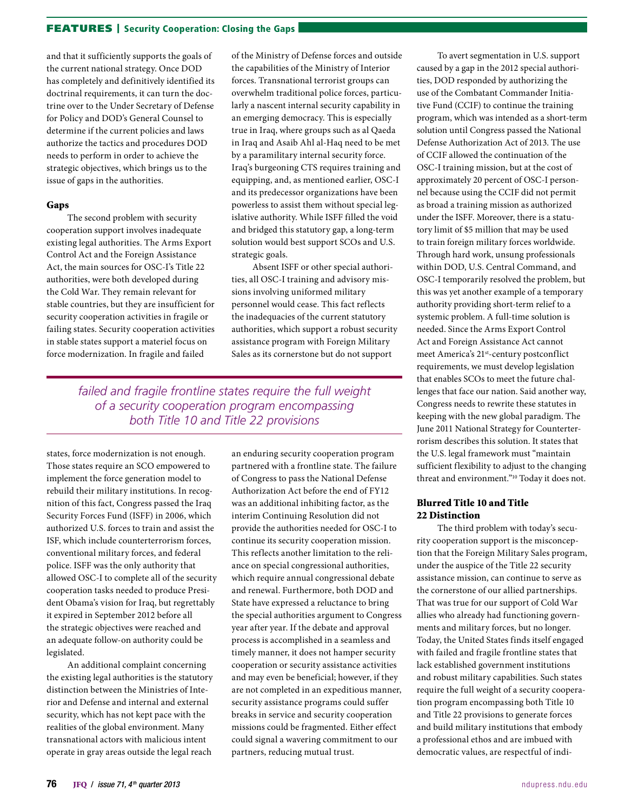## FEATURES | Security Cooperation: Closing the Gaps

and that it sufficiently supports the goals of the current national strategy. Once DOD has completely and definitively identified its doctrinal requirements, it can turn the doctrine over to the Under Secretary of Defense for Policy and DOD's General Counsel to determine if the current policies and laws authorize the tactics and procedures DOD needs to perform in order to achieve the strategic objectives, which brings us to the issue of gaps in the authorities.

#### Gaps

The second problem with security cooperation support involves inadequate existing legal authorities. The Arms Export Control Act and the Foreign Assistance Act, the main sources for OSC-I's Title 22 authorities, were both developed during the Cold War. They remain relevant for stable countries, but they are insufficient for security cooperation activities in fragile or failing states. Security cooperation activities in stable states support a materiel focus on force modernization. In fragile and failed

of the Ministry of Defense forces and outside the capabilities of the Ministry of Interior forces. Transnational terrorist groups can overwhelm traditional police forces, particularly a nascent internal security capability in an emerging democracy. This is especially true in Iraq, where groups such as al Qaeda in Iraq and Asaib Ahl al-Haq need to be met by a paramilitary internal security force. Iraq's burgeoning CTS requires training and equipping, and, as mentioned earlier, OSC-I and its predecessor organizations have been powerless to assist them without special legislative authority. While ISFF filled the void and bridged this statutory gap, a long-term solution would best support SCOs and U.S. strategic goals.

Absent ISFF or other special authorities, all OSC-I training and advisory missions involving uniformed military personnel would cease. This fact reflects the inadequacies of the current statutory authorities, which support a robust security assistance program with Foreign Military Sales as its cornerstone but do not support

*failed and fragile frontline states require the full weight of a security cooperation program encompassing both Title 10 and Title 22 provisions*

states, force modernization is not enough. Those states require an SCO empowered to implement the force generation model to rebuild their military institutions. In recognition of this fact, Congress passed the Iraq Security Forces Fund (ISFF) in 2006, which authorized U.S. forces to train and assist the ISF, which include counterterrorism forces, conventional military forces, and federal police. ISFF was the only authority that allowed OSC-I to complete all of the security cooperation tasks needed to produce President Obama's vision for Iraq, but regrettably it expired in September 2012 before all the strategic objectives were reached and an adequate follow-on authority could be legislated.

An additional complaint concerning the existing legal authorities is the statutory distinction between the Ministries of Interior and Defense and internal and external security, which has not kept pace with the realities of the global environment. Many transnational actors with malicious intent operate in gray areas outside the legal reach

an enduring security cooperation program partnered with a frontline state. The failure of Congress to pass the National Defense Authorization Act before the end of FY12 was an additional inhibiting factor, as the interim Continuing Resolution did not provide the authorities needed for OSC-I to continue its security cooperation mission. This reflects another limitation to the reliance on special congressional authorities, which require annual congressional debate and renewal. Furthermore, both DOD and State have expressed a reluctance to bring the special authorities argument to Congress year after year. If the debate and approval process is accomplished in a seamless and timely manner, it does not hamper security cooperation or security assistance activities and may even be beneficial; however, if they are not completed in an expeditious manner, security assistance programs could suffer breaks in service and security cooperation missions could be fragmented. Either effect could signal a wavering commitment to our partners, reducing mutual trust.

To avert segmentation in U.S. support caused by a gap in the 2012 special authorities, DOD responded by authorizing the use of the Combatant Commander Initiative Fund (CCIF) to continue the training program, which was intended as a short-term solution until Congress passed the National Defense Authorization Act of 2013. The use of CCIF allowed the continuation of the OSC-I training mission, but at the cost of approximately 20 percent of OSC-I personnel because using the CCIF did not permit as broad a training mission as authorized under the ISFF. Moreover, there is a statutory limit of \$5 million that may be used to train foreign military forces worldwide. Through hard work, unsung professionals within DOD, U.S. Central Command, and OSC-I temporarily resolved the problem, but this was yet another example of a temporary authority providing short-term relief to a systemic problem. A full-time solution is needed. Since the Arms Export Control Act and Foreign Assistance Act cannot meet America's 21st-century postconflict requirements, we must develop legislation that enables SCOs to meet the future challenges that face our nation. Said another way, Congress needs to rewrite these statutes in keeping with the new global paradigm. The June 2011 National Strategy for Counterterrorism describes this solution. It states that the U.S. legal framework must "maintain sufficient flexibility to adjust to the changing threat and environment."10 Today it does not.

## Blurred Title 10 and Title 22 Distinction

The third problem with today's security cooperation support is the misconception that the Foreign Military Sales program, under the auspice of the Title 22 security assistance mission, can continue to serve as the cornerstone of our allied partnerships. That was true for our support of Cold War allies who already had functioning governments and military forces, but no longer. Today, the United States finds itself engaged with failed and fragile frontline states that lack established government institutions and robust military capabilities. Such states require the full weight of a security cooperation program encompassing both Title 10 and Title 22 provisions to generate forces and build military institutions that embody a professional ethos and are imbued with democratic values, are respectful of indi-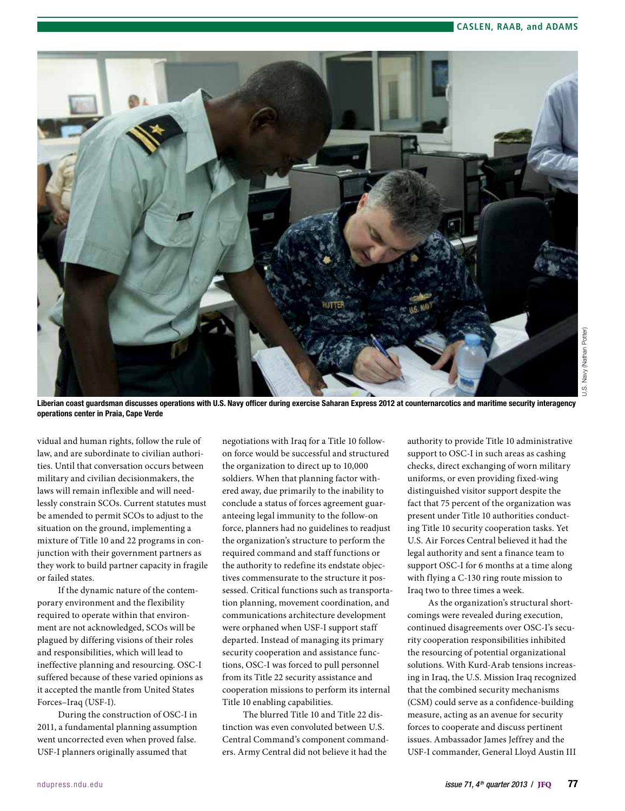

Liberian coast guardsman discusses operations with U.S. Navy officer during exercise Saharan Express 2012 at counternarcotics and maritime security interagency operations center in Praia, Cape Verde

vidual and human rights, follow the rule of law, and are subordinate to civilian authorities. Until that conversation occurs between military and civilian decisionmakers, the laws will remain inflexible and will needlessly constrain SCOs. Current statutes must be amended to permit SCOs to adjust to the situation on the ground, implementing a mixture of Title 10 and 22 programs in conjunction with their government partners as they work to build partner capacity in fragile or failed states.

If the dynamic nature of the contemporary environment and the flexibility required to operate within that environment are not acknowledged, SCOs will be plagued by differing visions of their roles and responsibilities, which will lead to ineffective planning and resourcing. OSC-I suffered because of these varied opinions as it accepted the mantle from United States Forces–Iraq (USF-I).

During the construction of OSC-I in 2011, a fundamental planning assumption went uncorrected even when proved false. USF-I planners originally assumed that

negotiations with Iraq for a Title 10 followon force would be successful and structured the organization to direct up to 10,000 soldiers. When that planning factor withered away, due primarily to the inability to conclude a status of forces agreement guaranteeing legal immunity to the follow-on force, planners had no guidelines to readjust the organization's structure to perform the required command and staff functions or the authority to redefine its endstate objectives commensurate to the structure it possessed. Critical functions such as transportation planning, movement coordination, and communications architecture development were orphaned when USF-I support staff departed. Instead of managing its primary security cooperation and assistance functions, OSC-I was forced to pull personnel from its Title 22 security assistance and cooperation missions to perform its internal Title 10 enabling capabilities.

The blurred Title 10 and Title 22 distinction was even convoluted between U.S. Central Command's component commanders. Army Central did not believe it had the

authority to provide Title 10 administrative support to OSC-I in such areas as cashing checks, direct exchanging of worn military uniforms, or even providing fixed-wing distinguished visitor support despite the fact that 75 percent of the organization was present under Title 10 authorities conducting Title 10 security cooperation tasks. Yet U.S. Air Forces Central believed it had the legal authority and sent a finance team to support OSC-I for 6 months at a time along with flying a C-130 ring route mission to Iraq two to three times a week.

U.S. Navy (Nathan Potter)

 $\vec{c}$ 

Navy (Nathan Potter)

As the organization's structural shortcomings were revealed during execution, continued disagreements over OSC-I's security cooperation responsibilities inhibited the resourcing of potential organizational solutions. With Kurd-Arab tensions increasing in Iraq, the U.S. Mission Iraq recognized that the combined security mechanisms (CSM) could serve as a confidence-building measure, acting as an avenue for security forces to cooperate and discuss pertinent issues. Ambassador James Jeffrey and the USF-I commander, General Lloyd Austin III